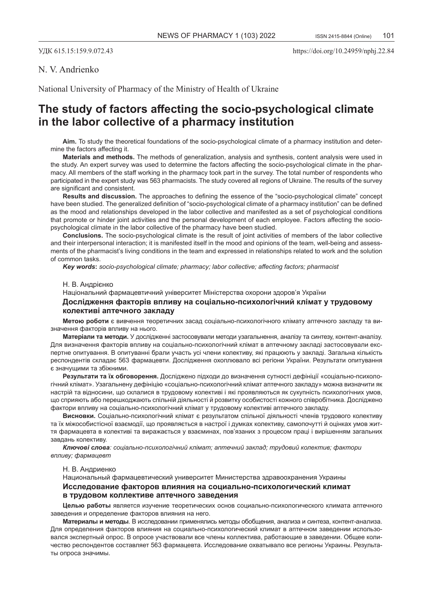## N. V. Andrienko

National University of Pharmacy of the Ministry of Health of Ukraine

# **The study of factors affecting the socio-psychological climate in the labor collective of a pharmacy institution**

**Aim.** To study the theoretical foundations of the socio-psychological climate of a pharmacy institution and determine the factors affecting it.

**Materials and methods.** The methods of generalization, analysis and synthesis, content analysis were used in the study. An expert survey was used to determine the factors affecting the socio-psychological climate in the pharmacy. All members of the staff working in the pharmacy took part in the survey. The total number of respondents who participated in the expert study was 563 pharmacists. The study covered all regions of Ukraine. The results of the survey are significant and consistent.

**Results and discussion.** The approaches to defining the essence of the "socio-psychological climate" concept have been studied. The generalized definition of "socio-psychological climate of a pharmacy institution" can be defined as the mood and relationships developed in the labor collective and manifested as a set of psychological conditions that promote or hinder joint activities and the personal development of each employee. Factors affecting the sociopsychological climate in the labor collective of the pharmacy have been studied.

**Conclusions.** The socio-psychological climate is the result of joint activities of members of the labor collective and their interpersonal interaction; it is manifested itself in the mood and opinions of the team, well-being and assessments of the pharmacist's living conditions in the team and expressed in relationships related to work and the solution of common tasks.

*Key words***:** *socio-psychological climate; pharmacy; labor collective; affecting factors; pharmacist*

### Н. В. Aндрієнкo

Національний фармацевтичний університет Міністерства охорони здоров'я України **Дослідження факторів впливу на соціально-психологічний клімат у трудовому колективі аптечного закладу**

**Метою роботи** є вивчення теоретичних засад соціально-психологічного клімату аптечного закладу та визначення факторів впливу на нього.

**Матеріали та методи.** У дослідженні застосовували методи узагальнення, аналізу та синтезу, контент-аналізу. Для визначення факторів впливу на соціально-психологічний клімат в аптечному закладі застосовували експертне опитування. В опитуванні брали участь усі члени колективу, які працюють у закладі. Загальна кількість респондентів складає 563 фармацевти. Дослідження охоплювало всі регіони України. Результати опитування є значущими та збіжними.

**Результати та їх обговорення.** Досліджено підходи до визначення сутності дефініції «соціально-психологічний клімат». Узагальнену дефініцію «соціально-психологічний клімат аптечного закладу» можна визначити як настрій та відносини, що склалися в трудовому колективі і які проявляються як сукупність психологічних умов, що сприяють або перешкоджають спільній діяльності й розвитку особистості кожного співробітника. Досліджено фактори впливу на соціально-психологічний клімат у трудовому колективі аптечного закладу.

**Висновки.** Соціально-психологічний клімат є результатом спільної діяльності членів трудового колективу та їх міжособистісної взаємодії, що проявляється в настрої і думках колективу, самопочутті й оцінках умов життя фармацевта в колективі та виражається у взаєминах, пов'язаних з процесом праці і вирішенням загальних завдань колективу.

*Ключові слова: соціально-психологічний клімат; аптечний заклад; трудовий колектив; фактори впливу; фармацевт*

### Н. В. Aндриенкo

Национальный фармацевтический университет Министерства здравоохранения Украины

## **Исследование факторов влияния на социально-психологический климат в трудовом коллективе аптечного заведения**

**Целью работы** является изучение теоретических основ социально-психологического климата аптечного заведения и определение факторов влияния на него.

**Материалы и методы**. В исследовании применялись методы обобщения, анализа и синтеза, контент-анализа. Для определения факторов влияния на социально-психологический климат в аптечном заведении использовался экспертный опрос. В опросе участвовали все члены коллектива, работающие в заведении. Общее количество респондентов составляет 563 фармацевта. Исследование охватывало все регионы Украины. Результаты опроса значимы.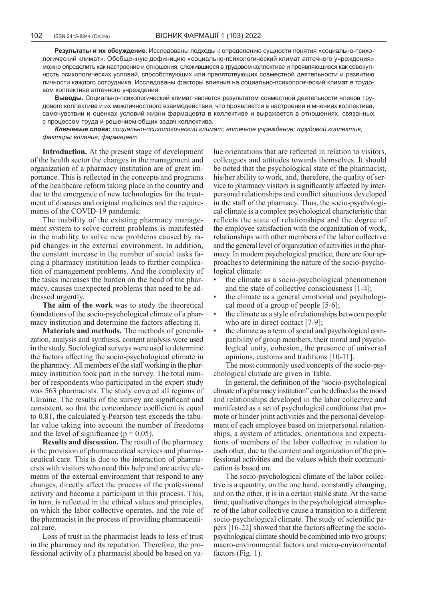**Результаты и их обсуждение.** Исследованы подходы к определению сущности понятия «социально-психологический климат». Обобщенную дефиницию «социально-психологический климат аптечного учреждения» можно определить как настроение и отношения, сложившиеся в трудовом коллективе и проявляющиеся как совокупность психологических условий, способствующих или препятствующих совместной деятельности и развитию личности каждого сотрудника. Исследованы факторы влияния на социально-психологический климат в трудовом коллективе аптечного учреждения.

**Выводы.** Социально-психологический климат является результатом совместной деятельности членов трудового коллектива и их межличностного взаимодействия, что проявляется в настроении и мнениях коллектива, самочувствии и оценках условий жизни фармацевта в коллективе и выражается в отношениях, связанных с процессом труда и решением общих задач коллектива.

*Ключевые слова***:** *социально-психологический климат; аптечное учреждение; трудовой коллектив; факторы влияния; фармацевт*

**Introduction.** At the present stage of development of the health sector the changes in the management and organization of a pharmacy institution are of great importance. This is reflected in the concepts and programs of the healthcare reform taking place in the country and due to the emergence of new technologies for the treatment of diseases and original medicines and the requirements of the COVID-19 pandemic.

The inability of the existing pharmacy management system to solve current problems is manifested in the inability to solve new problems caused by rapid changes in the external environment. In addition, the constant increase in the number of social tasks facing a pharmacy institution leads to further complication of management problems. And the complexity of the tasks increases the burden on the head of the pharmacy, causes unexpected problems that need to be addressed urgently.

**The aim of the work** was to study the theoretical foundations of the socio-psychological climate of a pharmacy institution and determine the factors affecting it.

**Materials and methods.** The methods of generalization, analysis and synthesis, content analysis were used in the study. Sociological surveys were used to determine the factors affecting the socio-psychological climate in the pharmacy. All members of the staff working in the pharmacy institution took part in the survey. The total number of respondents who participated in the expert study was 563 pharmacists. The study covered all regions of Ukraine. The results of the survey are significant and consistent, so that the concordance coefficient is equal to 0.81, the calculated χ-Pearson test exceeds the tabular value taking into account the number of freedoms and the level of significance ( $p = 0.05$ ).

**Results and discussion.** The result of the pharmacy is the provision of pharmaceutical services and pharmaceutical care. This is due to the interaction of pharmacists with visitors who need this help and are active elements of the external environment that respond to any changes, directly affect the process of the professional activity and become a participant in this process. This, in turn, is reflected in the ethical values and principles, on which the labor collective operates, and the role of the pharmacist in the process of providing pharmaceutical care.

Loss of trust in the pharmacist leads to loss of trust in the pharmacy and its reputation. Therefore, the professional activity of a pharmacist should be based on value orientations that are reflected in relation to visitors, colleagues and attitudes towards themselves. It should be noted that the psychological state of the pharmacist, his/her ability to work, and, therefore, the quality of service to pharmacy visitors is significantly affected by interpersonal relationships and conflict situations developed in the staff of the pharmacy. Thus, the socio-psychological climate is a complex psychological characteristic that reflects the state of relationships and the degree of the employee satisfaction with the organization of work, relationships with other members of the labor collective and the general level of organization of activities in the pharmacy. In modern psychological practice, there are four approaches to determining the nature of the socio-psychological climate:

- the climate as a socio-psychological phenomenon and the state of collective consciousness [1-4];
- the climate as a general emotional and psychological mood of a group of people [5-6];
- the climate as a style of relationships between people who are in direct contact [7-9];
- the climate as a term of social and psychological compatibility of group members, their moral and psychological unity, cohesion, the presence of universal opinions, customs and traditions [10-11].

The most commonly used concepts of the socio-psychological climate are given in Table.

In general, the definition of the "socio-psychological climate of a pharmacy institution" can be defined as the mood and relationships developed in the labor collective and manifested as a set of psychological conditions that promote or hinder joint activities and the personal development of each employee based on interpersonal relationships, a system of attitudes, orientations and expectations of members of the labor collective in relation to each other, due to the content and organization of the professional activities and the values which their communication is based on.

The socio-psychological climate of the labor collective is a quantity, on the one hand, constantly changing, and on the other, it is in a certain stable state. At the same time, qualitative changes in the psychological atmosphere of the labor collective cause a transition to a different socio-psychological climate. The study of scientific papers [16-22] showed that the factors affecting the sociopsychological climate should be combined into two groups: macro-environmental factors and micro-environmental factors (Fig. 1).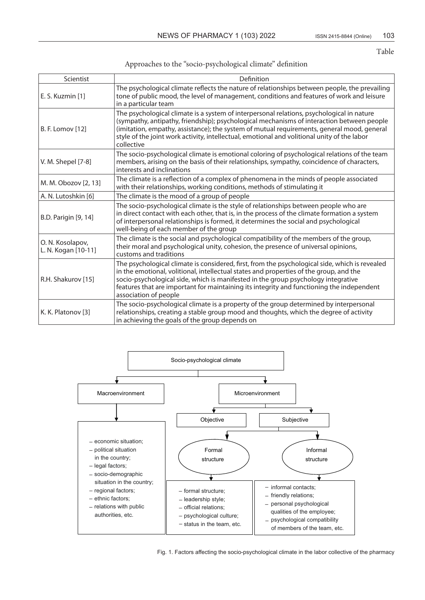Тable

## Approaches to the "socio-psychological climate" definition

| Scientist                               | Definition                                                                                                                                                                                                                                                                                                                                                                                          |
|-----------------------------------------|-----------------------------------------------------------------------------------------------------------------------------------------------------------------------------------------------------------------------------------------------------------------------------------------------------------------------------------------------------------------------------------------------------|
| E. S. Kuzmin [1]                        | The psychological climate reflects the nature of relationships between people, the prevailing<br>tone of public mood, the level of management, conditions and features of work and leisure<br>in a particular team                                                                                                                                                                                  |
| B. F. Lomov [12]                        | The psychological climate is a system of interpersonal relations, psychological in nature<br>(sympathy, antipathy, friendship); psychological mechanisms of interaction between people<br>(imitation, empathy, assistance); the system of mutual requirements, general mood, general<br>style of the joint work activity, intellectual, emotional and volitional unity of the labor<br>collective   |
| V. M. Shepel [7-8]                      | The socio-psychological climate is emotional coloring of psychological relations of the team<br>members, arising on the basis of their relationships, sympathy, coincidence of characters,<br>interests and inclinations                                                                                                                                                                            |
| M. M. Obozov [2, 13]                    | The climate is a reflection of a complex of phenomena in the minds of people associated<br>with their relationships, working conditions, methods of stimulating it                                                                                                                                                                                                                                  |
| A. N. Lutoshkin [6]                     | The climate is the mood of a group of people                                                                                                                                                                                                                                                                                                                                                        |
| B.D. Parigin [9, 14]                    | The socio-psychological climate is the style of relationships between people who are<br>in direct contact with each other, that is, in the process of the climate formation a system<br>of interpersonal relationships is formed, it determines the social and psychological<br>well-being of each member of the group                                                                              |
| O. N. Kosolapov,<br>L. N. Kogan [10-11] | The climate is the social and psychological compatibility of the members of the group,<br>their moral and psychological unity, cohesion, the presence of universal opinions,<br>customs and traditions                                                                                                                                                                                              |
| R.H. Shakurov [15]                      | The psychological climate is considered, first, from the psychological side, which is revealed<br>in the emotional, volitional, intellectual states and properties of the group, and the<br>socio-psychological side, which is manifested in the group psychology integrative<br>features that are important for maintaining its integrity and functioning the independent<br>association of people |
| K. K. Platonov [3]                      | The socio-psychological climate is a property of the group determined by interpersonal<br>relationships, creating a stable group mood and thoughts, which the degree of activity<br>in achieving the goals of the group depends on                                                                                                                                                                  |



Fig. 1. Factors affecting the socio-psychological climate in the labor collective of the pharmacy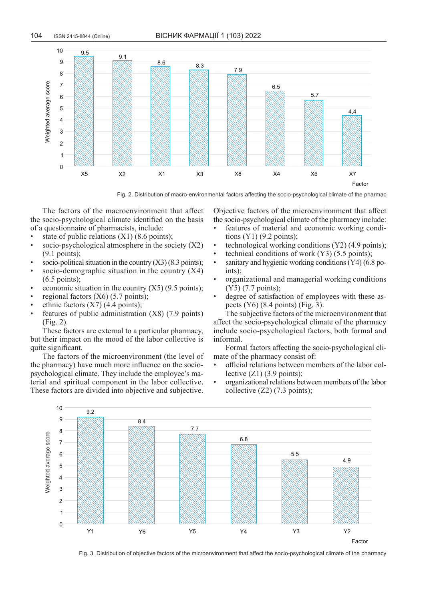

Fig. 2. Distribution of macro-environmental factors affecting the socio-psychological climate of the pharmac

The factors of the macroenvironment that affect the socio-psychological climate identified on the basis of a questionnaire of pharmacists, include:

- state of public relations (X1) (8.6 points);
- socio-psychological atmosphere in the society  $(X2)$ (9.1 points);
- socio-political situation in the country  $(X3)$  (8.3 points);
- socio-demographic situation in the country  $(X4)$ (6.5 points);
- economic situation in the country  $(X5)$  (9.5 points);
- regional factors  $(X6)$  (5.7 points);
- ethnic factors  $(X7)$  (4.4 points);
- features of public administration  $(X8)$  (7.9 points) (Fig. 2).

These factors are external to a particular pharmacy, but their impact on the mood of the labor collective is quite significant.

The factors of the microenvironment (the level of the pharmacy) have much more influence on the sociopsychological climate. They include the employee's material and spiritual component in the labor collective. These factors are divided into objective and subjective.

Objective factors of the microenvironment that affect the socio-psychological climate of the pharmacy include:

- features of material and economic working conditions  $(Y1)$  (9.2 points);
- technological working conditions (Y2) (4.9 points);
- technical conditions of work  $(Y3)$  (5.5 points);
- sanitary and hygienic working conditions (Y4) (6.8 points);
- organizational and managerial working conditions (Y5) (7.7 points);
- degree of satisfaction of employees with these aspects  $(Y6)$  (8.4 points) (Fig. 3).

The subjective factors of the microenvironment that affect the socio-psychological climate of the pharmacy include socio-psychological factors, both formal and informal.

Formal factors affecting the socio-psychological climate of the pharmacy consist of:

- official relations between members of the labor collective  $(Z1)$  (3.9 points);
- organizational relations between members of the labor collective (Z2) (7.3 points);



Fig. 3. Distribution of objective factors of the microenvironment that affect the socio-psychological climate of the pharmacy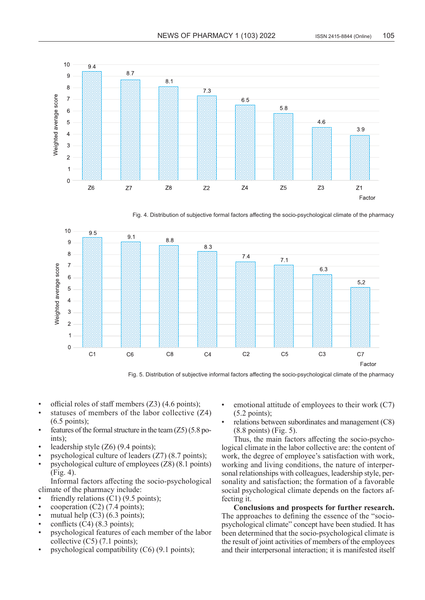

Fig. 4. Distribution of subjective formal factors affecting the socio-psychological climate of the pharmacy



Fig. 5. Distribution of subjective informal factors affecting the socio-psychological climate of the pharmacy

- official roles of staff members (Z3) (4.6 points);
- statuses of members of the labor collective  $(Z4)$ (6.5 points);
- features of the formal structure in the team  $(Z5)$  (5.8 points);
- leadership style  $(Z6)$  (9.4 points);
- psychological culture of leaders (Z7) (8.7 points);
- psychological culture of employees (Z8) (8.1 points) (Fig. 4).

Informal factors affecting the socio-psychological climate of the pharmacy include:

- friendly relations  $(C1)$  (9.5 points);
- $cooperation (C2) (7.4 points);$
- mutual help  $(C3)$  (6.3 points);
- conflicts  $(C4)$  (8.3 points);
- psychological features of each member of the labor collective (С5) (7.1 points);
- psychological compatibility (С6) (9.1 points);
- emotional attitude of employees to their work  $(C7)$ (5.2 points);
- relations between subordinates and management (C8) (8.8 points) (Fig. 5).

Thus, the main factors affecting the socio-psychological climate in the labor collective are: the content of work, the degree of employee's satisfaction with work, working and living conditions, the nature of interpersonal relationships with colleagues, leadership style, personality and satisfaction; the formation of a favorable social psychological climate depends on the factors affecting it.

**Conclusions and prospects for further research.**  The approaches to defining the essence of the "sociopsychological climate" concept have been studied. It has been determined that the socio-psychological climate is the result of joint activities of members of the employees and their interpersonal interaction; it is manifested itself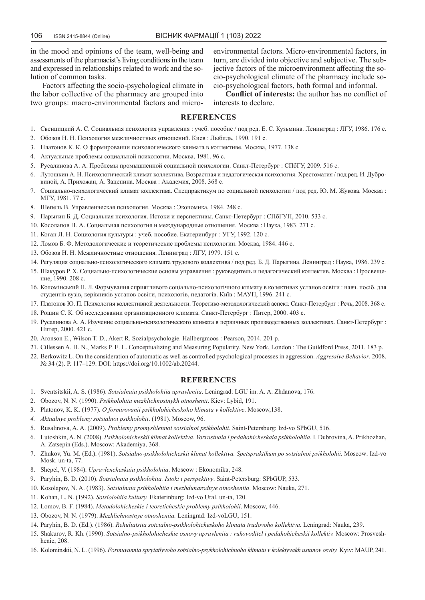in the mood and opinions of the team, well-being and assessments of the pharmacist's living conditions in the team and expressed in relationships related to work and the solution of common tasks.

Factors affecting the socio-psychological climate in the labor collective of the pharmacy are grouped into two groups: macro-environmental factors and micro-

environmental factors. Micro-environmental factors, in turn, are divided into objective and subjective. The subjective factors of the microenvironment affecting the socio-psychological climate of the pharmacy include socio-psychological factors, both formal and informal.

**Conflict of interests:** the author has no conflict of interests to declare.

## **REFERENCES**

- 1. Свенцицкий А. С. Социальная психология управления : учеб. пособие / под ред. Е. С. Кузьмина. Ленинград : ЛГУ, 1986. 176 с.
- 2. Обозов Н. Н. Психология межличностных отношений. Киев : Лыбидь, 1990. 191 с.
- 3. Платонов К. К. О формировании психологического климата в коллективе. Москва, 1977. 138 с.
- 4. Актуальные проблемы социальной психологии. Москва, 1981. 96 с.
- 5. Русалинова А. А. Проблемы промышленной социальной психологии. Санкт-Петербург : СПбГУ, 2009. 516 с.
- 6. Лутошкин А. Н. Психологический климат коллектива. Возрастная и педагогическая психология. Хрестоматия / под ред. И. Дубровиной, А. Прихожан, А. Зацепина. Москва : Академия, 2008. 368 с.
- 7. Социально-психологический климат коллектива. Спецпрактикум по социальной психологии / под ред. Ю. М. Жукова. Москва : МГУ, 1981. 77 с.
- 8. Шепель В. Управленческая психология. Москва : Экономика, 1984. 248 с.
- 9. Парыгин Б. Д. Социальная психология. Истоки и перспективы. Санкт-Петербург : СПбГУП, 2010. 533 с.
- 10. Косолапов Н. А. Социальная психология и международные отношения. Москва : Наука, 1983. 271 с.
- 11. Коган Л. Н. Социология культуры : учеб. пособие. Екатеринбург : УГУ, 1992. 120 с.
- 12. Ломов Б. Ф. Методологические и теоретические проблемы психологии. Москва, 1984. 446 с.
- 13. Обозов Н. Н. Межличностные отношения. Ленинград : ЛГУ, 1979. 151 с.
- 14. Регуляция социально-психологического климата трудового коллектива / под ред. Б. Д. Парыгина. Ленинград : Наука, 1986. 239 с.
- 15. Шакуров Р. Х. Социально-психологические основы управления : руководитель и педагогический коллектив. Москва : Просвещение, 1990. 208 с.
- 16. Коломінський Н. Л. Формування сприятливого соціально-психологічного клімату в колективах установ освіти : навч. посіб. для студентів вузів, керівників установ освіти, психологів, педагогів. Київ : МАУП, 1996. 241 с.
- 17. Платонов Ю. П. Психология коллективной деятельности. Теоретико-методологический аспект. Санкт-Петербург : Речь, 2008. 368 с.
- 18. Рощин С. К. Об исследовании организационного климата. Санкт-Петербург : Питер, 2000. 403 с.
- 19. Русалинова А. А. Изучение социально-психологического климата в первичных производственных коллективах. Санкт-Петербург : Питер, 2000. 421 с.
- 20. Aronson E., Wilson T. D., Akert R. Sozialpsychologie. Hallbergmoos : Pearson, 2014. 201 р.
- 21. Cillessen A. H. N., Marks P. E. L. Conceptualizing and Measuring Popularity. New York, London : The Guildford Press, 2011. 183 р.
- 22. Berkowitz L. On the consideration of automatic as well as controlled psychological processes in aggression. *Aggressive Behavior*. 2008. № 34 (2). Р. 117–129. DOI: https://doi.org/10.1002/ab.20244.

## **REFERENCES**

- 1. Sventsitskii, A. S. (1986). *Sotsialnaia psikholohiia upravleniia*. Leningrad: LGU im. A. A. Zhdanova, 176.
- 2. Obozov, N. N. (1990). *Psikholohiia mezhlichnostnykh otnoshenii*. Kiev: Lybid, 191.
- 3. Platonov, K. K. (1977). *O formirovanii psikholohicheskoho klimata v kollektive*. Moscow,138.
- *4. Aktualnye problemy sotsialnoi psikholohii*. (1981). Moscow, 96.
- 5. Rusalinova, A. A. (2009). *Problemy promyshlennoi sotsialnoi psikholohii*. Saint-Petersburg: Izd-vo SPbGU, 516.
- 6. Lutoshkin, A. N. (2008). *Psikholohicheskii klimat kollektiva. Vozrastnaia i pedahohicheskaia psikholohiia.* I. Dubrovina, A. Prikhozhan, A. Zatsepin (Eds.). Moscow: Akademiya, 368.
- 7. Zhukov, Yu. M. (Ed.). (1981). *Sotsialno-psikholohicheskii klimat kollektiva. Spetspraktikum po sotsialnoi psikholohii.* Moscow: Izd-vo Mosk. un-ta, 77.
- 8. Shepel, V. (1984). *Upravlencheskaia psikholohiia*. Moscow : Ekonomika, 248.
- 9. Paryhin, B. D. (2010). *Sotsialnaia psikholohiia. Istoki i perspektivy*. Saint-Petersburg: SPbGUP, 533.
- 10. Kosolapov, N. A. (1983). *Sotsialnaia psikholohiia i mezhdunarodnye otnosheniia*. Moscow: Nauka, 271.
- 11. Kohan, L. N. (1992). *Sotsiolohiia kultury.* Ekaterinburg: Izd-vo Ural. un-ta, 120.
- 12. Lomov, B. F. (1984). *Metodolohicheskie i teoreticheskie problemy psikholohii*. Moscow, 446.
- 13. Obozov, N. N. (1979). *Mezhlichnostnye otnosheniia.* Leningrad: Izd-voLGU, 151.
- 14. Paryhin, B. D. (Ed.). (1986). *Rehuliatsiia sotcialno-psikholohicheskoho klimata trudovoho kollektiva.* Leningrad: Nauka, 239.
- 15. Shakurov, R. Kh. (1990). *Sotsialno-psikholohicheskie osnovy upravleniia : rukovoditel i pedahohicheskii kollektiv.* Moscow: Prosveshhenie, 208.
- 16. Kolominskii, N. L. (1996). *Formuvannia spryiatlyvoho sotsialno-psykholohichnoho klimatu v kolektyvakh ustanov osvity.* Kyiv: MAUP, 241.